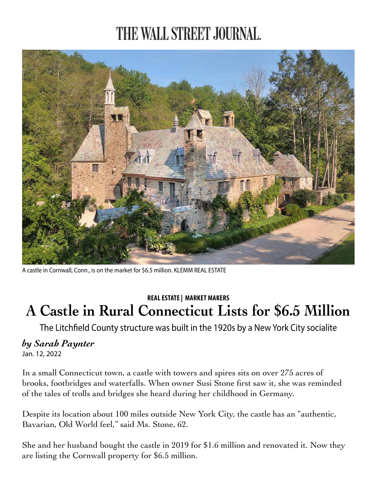## THE WALL STREET JOURNAL.



A castle in Cornwall, Conn., is on the market for \$6.5 million. KLEMM REAL ESTATE

## **REAL ESTATE | MARKET MAKERS A Castle in Rural Connecticut Lists for \$6.5 Million**

The Litchfield County structure was built in the 1920s by a New York City socialite

## *by Sarah Paynter*

Jan. 12, 2022

In a small Connecticut town, a castle with towers and spires sits on over 275 acres of brooks, footbridges and waterfalls. When owner Susi Stone first saw it, she was reminded of the tales of trolls and bridges she heard during her childhood in Germany.

Despite its location about 100 miles outside New York City, the castle has an "authentic, Bavarian, Old World feel," said Ms. Stone, 62.

She and her husband bought the castle in 2019 for \$1.6 million and renovated it. Now they are listing the Cornwall property for \$6.5 million.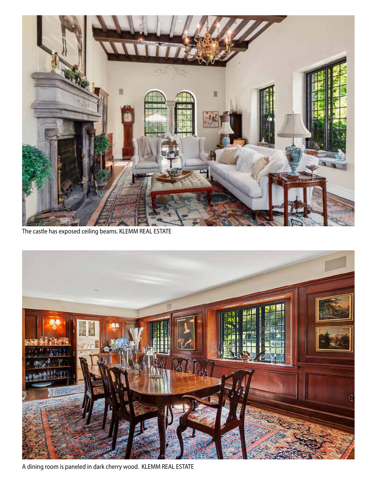

The castle has exposed ceiling beams. KLEMM REAL ESTATE



A dining room is paneled in dark cherry wood. KLEMM REAL ESTATE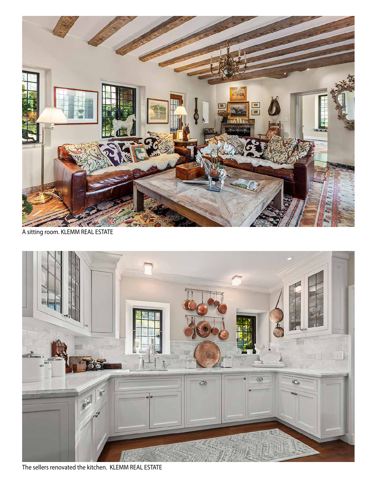

A sitting room. KLEMM REAL ESTATE



The sellers renovated the kitchen. KLEMM REAL ESTATE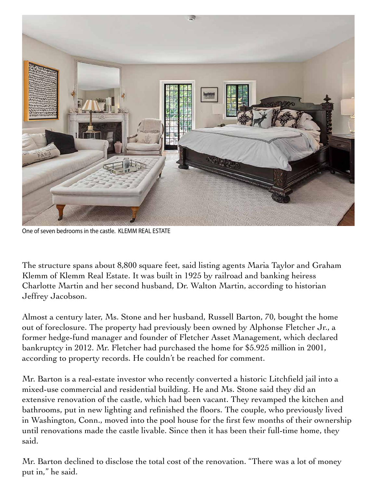

One of seven bedrooms in the castle. KLEMM REAL ESTATE

The structure spans about 8,800 square feet, said listing agents Maria Taylor and Graham Klemm of Klemm Real Estate. It was built in 1925 by railroad and banking heiress Charlotte Martin and her second husband, Dr. Walton Martin, according to historian Jeffrey Jacobson.

Almost a century later, Ms. Stone and her husband, Russell Barton, 70, bought the home out of foreclosure. The property had previously been owned by Alphonse Fletcher Jr., a former hedge-fund manager and founder of Fletcher Asset Management, which declared bankruptcy in 2012. Mr. Fletcher had purchased the home for \$5.925 million in 2001, according to property records. He couldn't be reached for comment.

Mr. Barton is a real-estate investor who recently converted a historic Litchfield jail into a mixed-use commercial and residential building. He and Ms. Stone said they did an extensive renovation of the castle, which had been vacant. They revamped the kitchen and bathrooms, put in new lighting and refinished the floors. The couple, who previously lived in Washington, Conn., moved into the pool house for the first few months of their ownership until renovations made the castle livable. Since then it has been their full-time home, they said.

Mr. Barton declined to disclose the total cost of the renovation. "There was a lot of money put in," he said.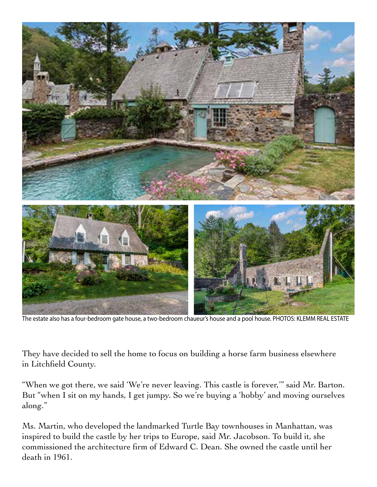

The estate also has a four-bedroom gate house, a two-bedroom chaueur's house and a pool house. PHOTOS: KLEMM REAL ESTATE

They have decided to sell the home to focus on building a horse farm business elsewhere in Litchfield County.

"When we got there, we said 'We're never leaving. This castle is forever,'" said Mr. Barton. But "when I sit on my hands, I get jumpy. So we're buying a 'hobby' and moving ourselves along."

Ms. Martin, who developed the landmarked Turtle Bay townhouses in Manhattan, was inspired to build the castle by her trips to Europe, said Mr. Jacobson. To build it, she commissioned the architecture firm of Edward C. Dean. She owned the castle until her death in 1961.